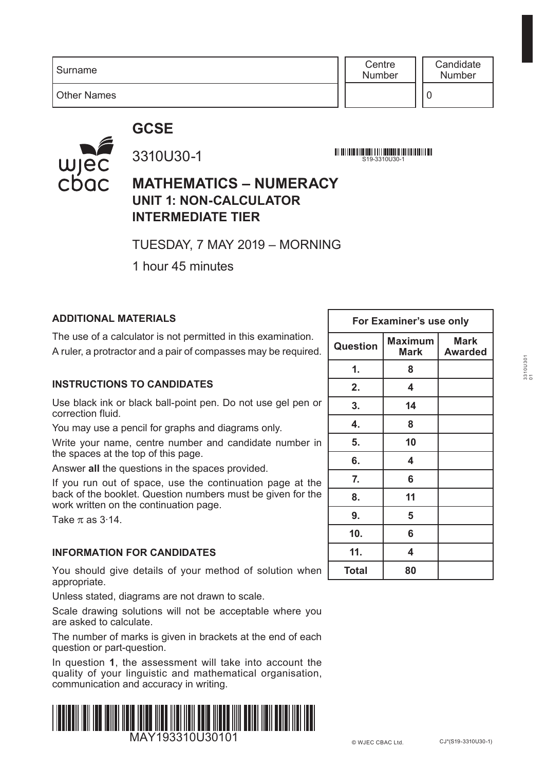**Centre** Number

Other Names

## **GCSE**



3310U30-1

S19-3310U30-1

### **MATHEMATICS – NUMERACY UNIT 1: NON-CALCULATOR INTERMEDIATE TIER**

TUESDAY, 7 MAY 2019 – MORNING

1 hour 45 minutes

### **ADDITIONAL MATERIALS**

The use of a calculator is not permitted in this examination. A ruler, a protractor and a pair of compasses may be required.

#### **INSTRUCTIONS TO CANDIDATES**

Use black ink or black ball-point pen. Do not use gel pen or correction fluid.

You may use a pencil for graphs and diagrams only.

Write your name, centre number and candidate number in the spaces at the top of this page.

Answer **all** the questions in the spaces provided.

If you run out of space, use the continuation page at the back of the booklet. Question numbers must be given for the work written on the continuation page.

Take  $\pi$  as 3.14.

#### **INFORMATION FOR CANDIDATES**

You should give details of your method of solution when appropriate.

Unless stated, diagrams are not drawn to scale.

Scale drawing solutions will not be acceptable where you are asked to calculate.

The number of marks is given in brackets at the end of each question or part-question.

In question **1**, the assessment will take into account the quality of your linguistic and mathematical organisation, communication and accuracy in writing.



|                 | For Examiner's use only       |                        |
|-----------------|-------------------------------|------------------------|
| <b>Question</b> | <b>Maximum</b><br><b>Mark</b> | Mark<br><b>Awarded</b> |
| 1.              | 8                             |                        |
| 2.              | 4                             |                        |
| 3.              | 14                            |                        |
| 4.              | 8                             |                        |
| 5.              | 10                            |                        |
| 6.              | 4                             |                        |
| 7.              | 6                             |                        |
| 8.              | 11                            |                        |
| 9.              | 5                             |                        |
| 10.             | 6                             |                        |
| 11.             | 4                             |                        |
| <b>Total</b>    | 80                            |                        |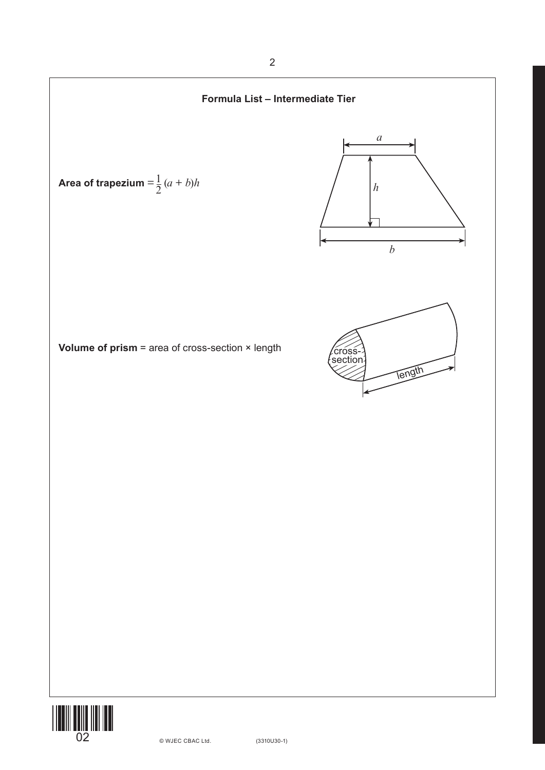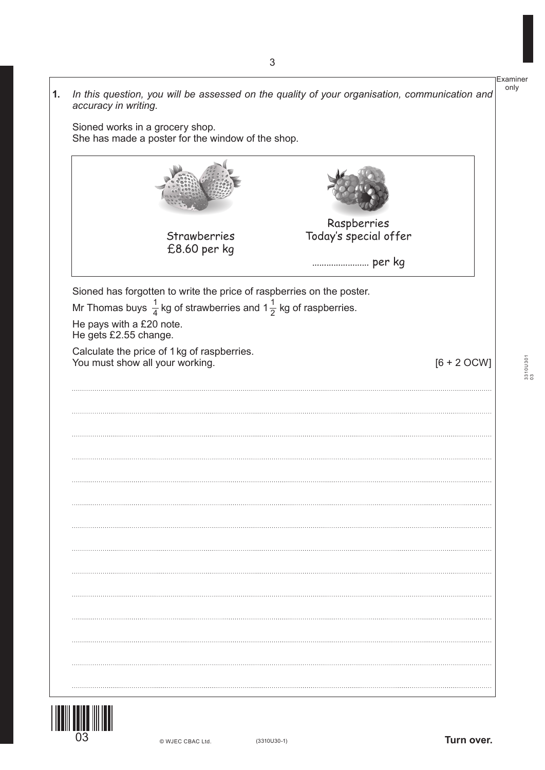|                                                   | She has made a poster for the window of the shop.                                     |                                      |               |
|---------------------------------------------------|---------------------------------------------------------------------------------------|--------------------------------------|---------------|
|                                                   |                                                                                       |                                      |               |
|                                                   | Strawberries<br>£8.60 per kg                                                          | Raspberries<br>Today's special offer |               |
|                                                   |                                                                                       |                                      |               |
|                                                   | Sioned has forgotten to write the price of raspberries on the poster.                 |                                      |               |
|                                                   | Mr Thomas buys $\frac{1}{4}$ kg of strawberries and $1\frac{1}{2}$ kg of raspberries. |                                      |               |
| He pays with a £20 note.<br>He gets £2.55 change. |                                                                                       |                                      |               |
|                                                   |                                                                                       |                                      |               |
|                                                   |                                                                                       |                                      |               |
|                                                   | Calculate the price of 1 kg of raspberries.                                           |                                      | $[6 + 2$ OCW] |
|                                                   |                                                                                       |                                      |               |
|                                                   |                                                                                       |                                      |               |
|                                                   |                                                                                       |                                      |               |
|                                                   |                                                                                       |                                      |               |
|                                                   |                                                                                       |                                      |               |
|                                                   |                                                                                       |                                      |               |
|                                                   |                                                                                       |                                      |               |
|                                                   |                                                                                       |                                      |               |
|                                                   |                                                                                       |                                      |               |
|                                                   |                                                                                       |                                      |               |
|                                                   |                                                                                       |                                      |               |
|                                                   |                                                                                       |                                      |               |
|                                                   |                                                                                       |                                      |               |
|                                                   |                                                                                       |                                      |               |
|                                                   |                                                                                       |                                      |               |
| You must show all your working.                   |                                                                                       |                                      |               |
|                                                   |                                                                                       |                                      |               |

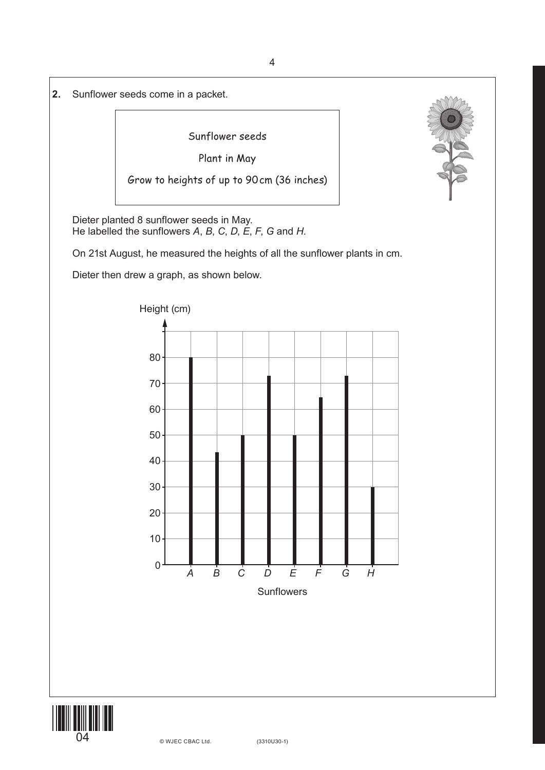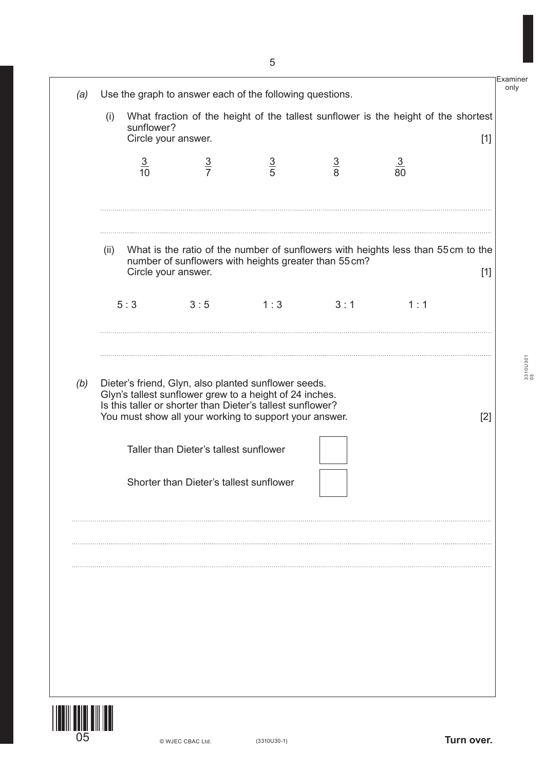|     | (i)  | sunflower?     | Circle your answer.                                                                                                                                                             |                                                      |               | What fraction of the height of the tallest sunflower is the height of the shortest | $[1]$ |
|-----|------|----------------|---------------------------------------------------------------------------------------------------------------------------------------------------------------------------------|------------------------------------------------------|---------------|------------------------------------------------------------------------------------|-------|
|     |      | $\frac{3}{10}$ | $\frac{3}{7}$                                                                                                                                                                   | $\frac{3}{5}$                                        | $\frac{3}{8}$ | $\frac{3}{80}$                                                                     |       |
|     | (ii) |                | number of sunflowers with heights greater than 55 cm?<br>Circle your answer.                                                                                                    |                                                      |               | What is the ratio of the number of sunflowers with heights less than 55cm to the   | $[1]$ |
|     |      | 5:3            | 3:5                                                                                                                                                                             | 1:3                                                  | 3:1           | 1:1                                                                                |       |
|     |      |                | Glyn's tallest sunflower grew to a height of 24 inches.<br>Is this taller or shorter than Dieter's tallest sunflower?<br>You must show all your working to support your answer. | Dieter's friend, Glyn, also planted sunflower seeds. |               |                                                                                    | $[2]$ |
| (b) |      |                | Taller than Dieter's tallest sunflower                                                                                                                                          |                                                      |               |                                                                                    |       |
|     |      |                | Shorter than Dieter's tallest sunflower                                                                                                                                         |                                                      |               |                                                                                    |       |
|     |      |                |                                                                                                                                                                                 |                                                      |               |                                                                                    |       |
|     |      |                |                                                                                                                                                                                 |                                                      |               |                                                                                    |       |

|**|||||||||||||||||**<br>|05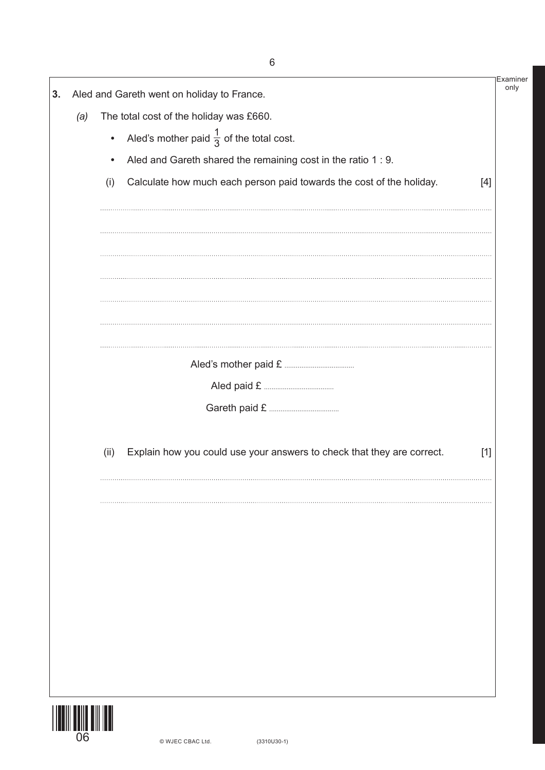|     |           | Aled and Gareth went on holiday to France.                             |       |
|-----|-----------|------------------------------------------------------------------------|-------|
| (a) |           | The total cost of the holiday was £660.                                |       |
|     | $\bullet$ | Aled's mother paid $\frac{1}{3}$ of the total cost.                    |       |
|     | $\bullet$ | Aled and Gareth shared the remaining cost in the ratio 1 : 9.          |       |
|     | (i)       | Calculate how much each person paid towards the cost of the holiday.   | [4]   |
|     |           |                                                                        |       |
|     |           |                                                                        |       |
|     |           |                                                                        |       |
|     |           |                                                                        |       |
|     |           |                                                                        |       |
|     |           |                                                                        |       |
|     | (ii)      | Explain how you could use your answers to check that they are correct. | $[1]$ |
|     |           |                                                                        |       |
|     |           |                                                                        |       |
|     |           |                                                                        |       |
|     |           |                                                                        |       |
|     |           |                                                                        |       |
|     |           |                                                                        |       |
|     |           |                                                                        |       |

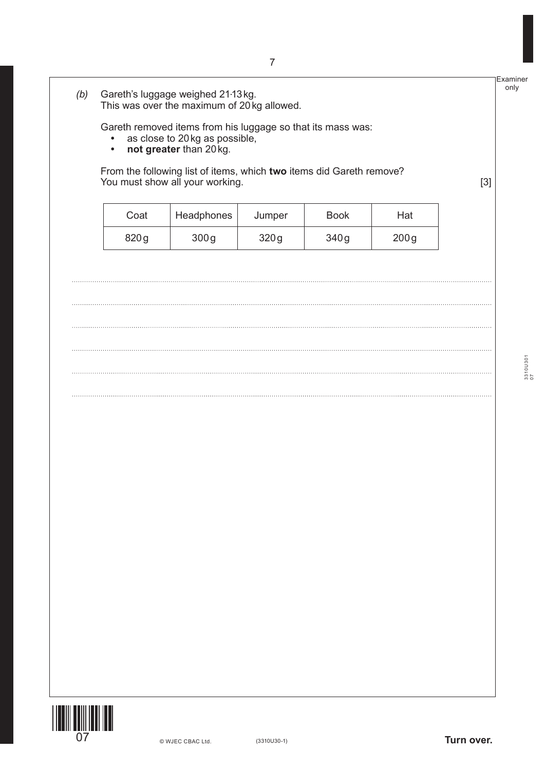| $\bullet$<br>$\bullet$ | Gareth removed items from his luggage so that its mass was:<br>as close to 20 kg as possible,<br>not greater than 20 kg. |        |             |      |       |
|------------------------|--------------------------------------------------------------------------------------------------------------------------|--------|-------------|------|-------|
|                        | From the following list of items, which two items did Gareth remove?<br>You must show all your working.                  |        |             |      | $[3]$ |
| Coat                   | Headphones                                                                                                               | Jumper | <b>Book</b> | Hat  |       |
| 820g                   | 300g                                                                                                                     | 320g   | 340g        | 200g |       |
|                        |                                                                                                                          |        |             |      |       |
|                        |                                                                                                                          |        |             |      |       |
|                        |                                                                                                                          |        |             |      |       |
|                        |                                                                                                                          |        |             |      |       |
|                        |                                                                                                                          |        |             |      |       |
|                        |                                                                                                                          |        |             |      |       |
|                        |                                                                                                                          |        |             |      |       |
|                        |                                                                                                                          |        |             |      |       |
|                        |                                                                                                                          |        |             |      |       |
|                        |                                                                                                                          |        |             |      |       |
|                        |                                                                                                                          |        |             |      |       |
|                        |                                                                                                                          |        |             |      |       |
|                        |                                                                                                                          |        |             |      |       |
|                        |                                                                                                                          |        |             |      |       |
|                        |                                                                                                                          |        |             |      |       |
|                        |                                                                                                                          |        |             |      |       |
|                        |                                                                                                                          |        |             |      |       |



3310U301 3310U301<br>07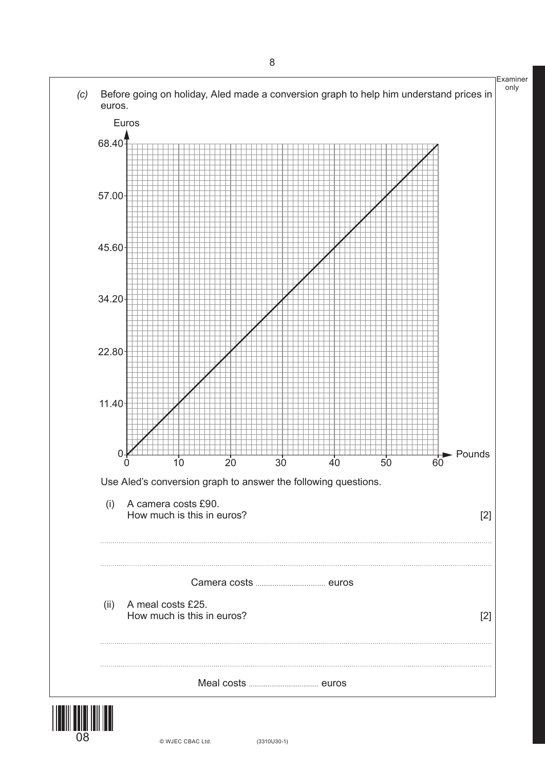

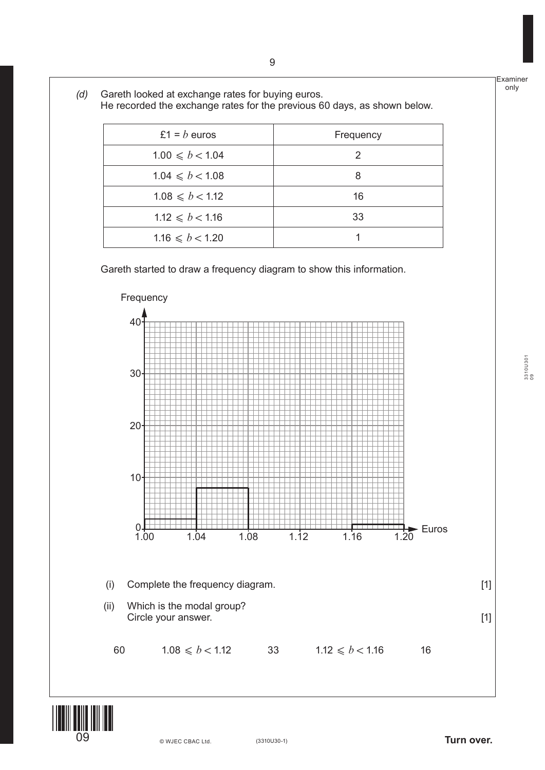|                 | £1 = $b$ euros      | Frequency      |
|-----------------|---------------------|----------------|
|                 | $1.00 \le b < 1.04$ | $\overline{2}$ |
|                 | $1.04 \le b < 1.08$ | 8              |
|                 | $1.08 \le b < 1.12$ | 16             |
|                 | $1.12 \le b < 1.16$ | 33             |
|                 | $1.16 \le b < 1.20$ | 1              |
| Frequency<br>40 |                     |                |
|                 |                     |                |





3310U301 3310U301<br>09

(3310U30-1) **Turn over.**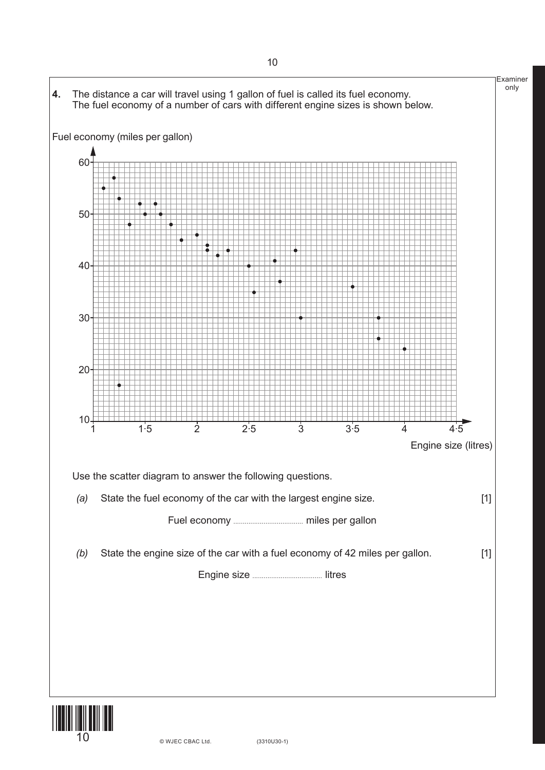

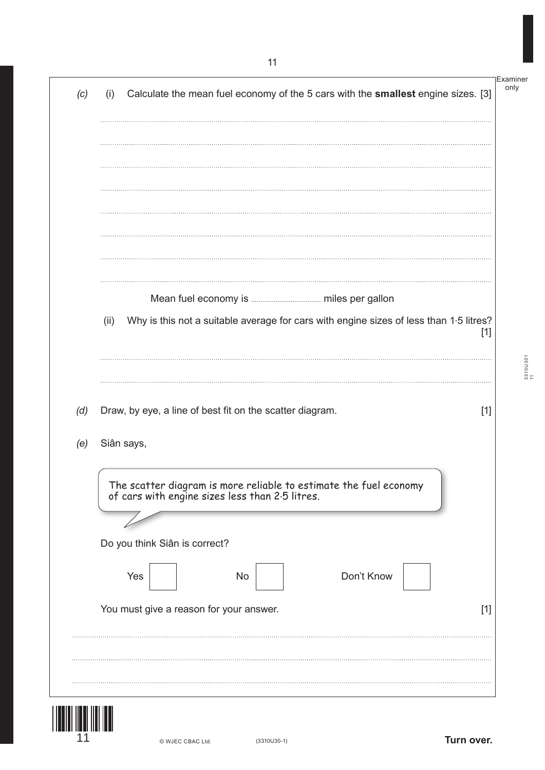| (c) | Calculate the mean fuel economy of the 5 cars with the smallest engine sizes. [3]<br>(i)                             |       |
|-----|----------------------------------------------------------------------------------------------------------------------|-------|
|     |                                                                                                                      |       |
|     |                                                                                                                      |       |
|     |                                                                                                                      |       |
|     |                                                                                                                      |       |
|     |                                                                                                                      |       |
|     | Why is this not a suitable average for cars with engine sizes of less than 1.5 litres?<br>(ii)                       | $[1]$ |
|     |                                                                                                                      |       |
| (d) | Draw, by eye, a line of best fit on the scatter diagram.                                                             | $[1]$ |
| (e) | Siân says,                                                                                                           |       |
|     |                                                                                                                      |       |
|     | The scatter diagram is more reliable to estimate the fuel economy<br>of cars with engine sizes less than 2.5 litres. |       |
|     | Do you think Siân is correct?                                                                                        |       |
|     | Yes<br>Don't Know<br><b>No</b>                                                                                       |       |
|     | You must give a reason for your answer.                                                                              | $[1]$ |
|     |                                                                                                                      |       |

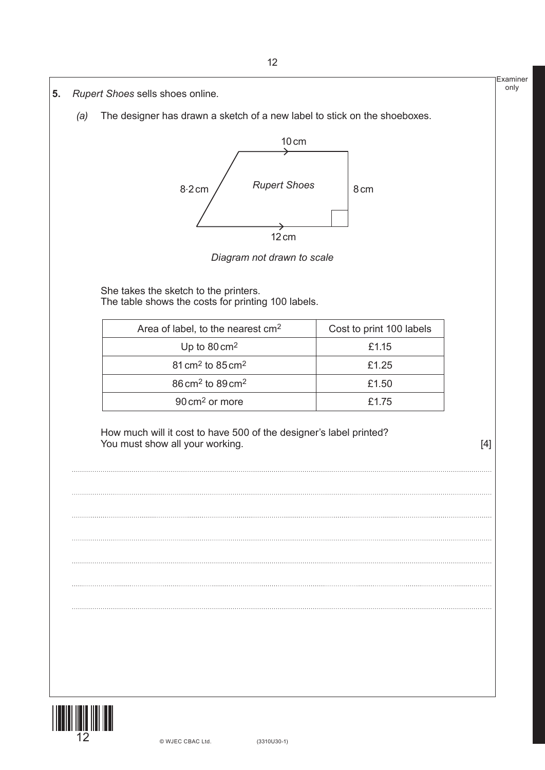

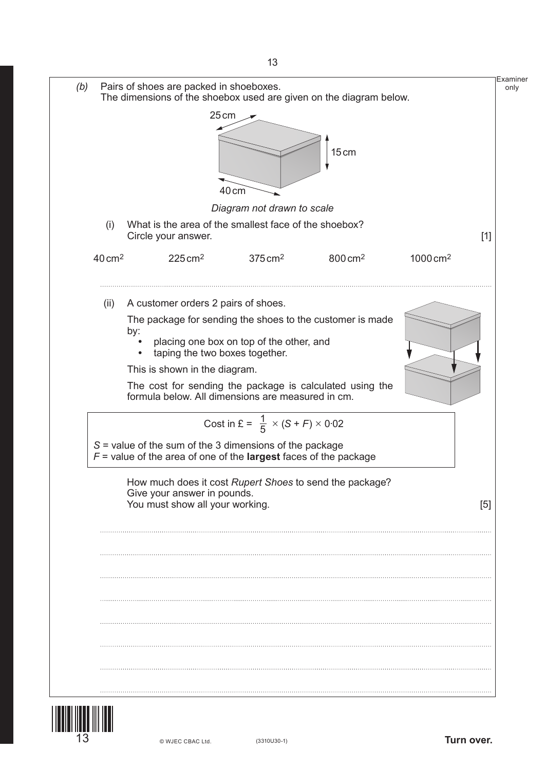

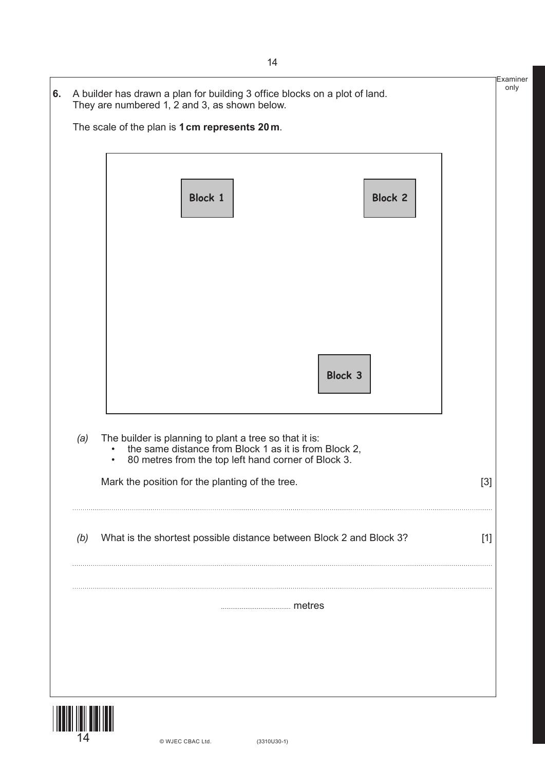|                               | Block 1                                                                                                                                                                |         | <b>Block 2</b> |                                                                                                                                                                                                                                                                                                                                                                                                                                                                                                                                                                                                                                                       |
|-------------------------------|------------------------------------------------------------------------------------------------------------------------------------------------------------------------|---------|----------------|-------------------------------------------------------------------------------------------------------------------------------------------------------------------------------------------------------------------------------------------------------------------------------------------------------------------------------------------------------------------------------------------------------------------------------------------------------------------------------------------------------------------------------------------------------------------------------------------------------------------------------------------------------|
|                               |                                                                                                                                                                        |         |                |                                                                                                                                                                                                                                                                                                                                                                                                                                                                                                                                                                                                                                                       |
|                               |                                                                                                                                                                        |         |                |                                                                                                                                                                                                                                                                                                                                                                                                                                                                                                                                                                                                                                                       |
|                               |                                                                                                                                                                        | Block 3 |                |                                                                                                                                                                                                                                                                                                                                                                                                                                                                                                                                                                                                                                                       |
| (a)<br>$\bullet$<br>$\bullet$ | The builder is planning to plant a tree so that it is:<br>the same distance from Block 1 as it is from Block 2,<br>80 metres from the top left hand corner of Block 3. |         |                |                                                                                                                                                                                                                                                                                                                                                                                                                                                                                                                                                                                                                                                       |
|                               | Mark the position for the planting of the tree.                                                                                                                        |         |                | $[3] % \begin{center} \includegraphics[width=\linewidth]{imagesSupplemental/Imetad-Architecture.png} \end{center} % \caption { % \textit{DefNet} and { \textit{DefNet}~Supplemental} and { \textit{DefNet}~Supplemental} are used in the image. % \textit{DefNet}~Supplemental and { \textit{DefNet}~Supplemental} are used in the image. % \textit{DefNet}~Supplemental and { \textit{DefNet}~Supplemental} are used in the image. % \textit{DefNet}~Supplemental and { \textit{DefNet}~Supplemental} are used in the image. % \textit{DefNet}~Supplemental and { \textit{DefNet}~Supplemental} are used in the image. % \textit{DefNet}~Supplement$ |
| (b)                           | What is the shortest possible distance between Block 2 and Block 3?                                                                                                    |         |                | $[1]$                                                                                                                                                                                                                                                                                                                                                                                                                                                                                                                                                                                                                                                 |
|                               |                                                                                                                                                                        |         |                |                                                                                                                                                                                                                                                                                                                                                                                                                                                                                                                                                                                                                                                       |

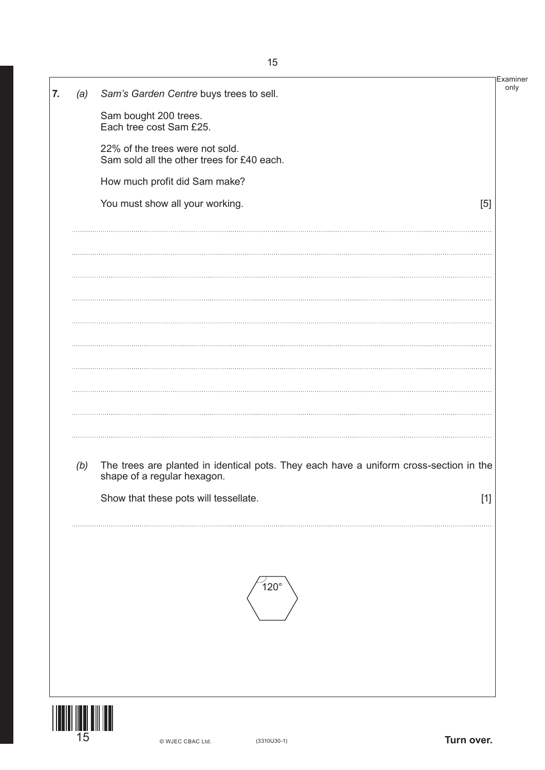| 7. |     | Sam's Garden Centre buys trees to sell.                                                | Examiner<br>only |
|----|-----|----------------------------------------------------------------------------------------|------------------|
|    | (a) | Sam bought 200 trees.                                                                  |                  |
|    |     | Each tree cost Sam £25.                                                                |                  |
|    |     | 22% of the trees were not sold.<br>Sam sold all the other trees for £40 each.          |                  |
|    |     | How much profit did Sam make?                                                          |                  |
|    |     | You must show all your working.<br>[5]                                                 |                  |
|    |     |                                                                                        |                  |
|    |     |                                                                                        |                  |
|    |     |                                                                                        |                  |
|    |     |                                                                                        |                  |
|    |     |                                                                                        |                  |
|    |     |                                                                                        |                  |
|    |     |                                                                                        |                  |
|    |     |                                                                                        |                  |
|    |     |                                                                                        |                  |
|    |     |                                                                                        |                  |
|    | (b) | The trees are planted in identical pots. They each have a uniform cross-section in the |                  |
|    |     | shape of a regular hexagon.                                                            |                  |
|    |     | Show that these pots will tessellate.<br>$[1]$                                         |                  |
|    |     |                                                                                        |                  |
|    |     |                                                                                        |                  |
|    |     |                                                                                        |                  |
|    |     | $120^\circ$                                                                            |                  |
|    |     |                                                                                        |                  |
|    |     |                                                                                        |                  |
|    |     |                                                                                        |                  |
|    |     |                                                                                        |                  |
|    |     |                                                                                        |                  |
|    | 15  | Turn over.<br>$(3310U30-1)$<br>© WJEC CBAC Ltd.                                        |                  |

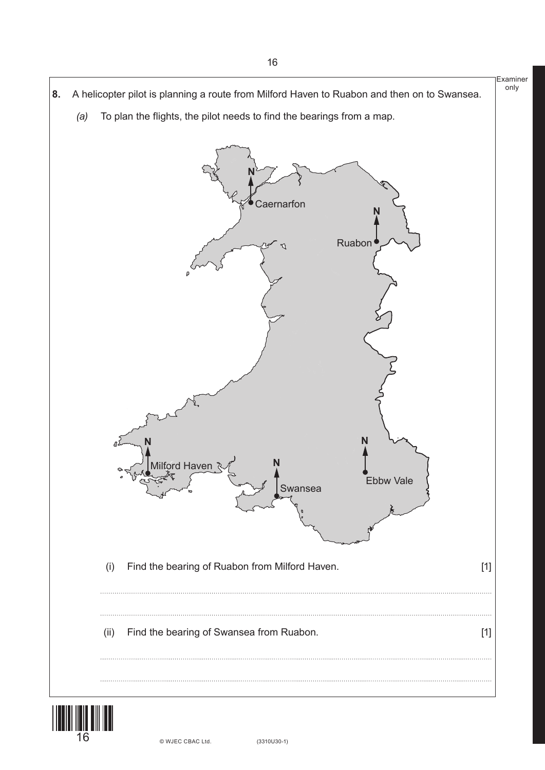Examiner only **8.** A helicopter pilot is planning a route from Milford Haven to Ruabon and then on to Swansea. *(a)* To plan the flights, the pilot needs to find the bearings from a map. **N Caernarfon** Ruabon Ebbw Vale Swansea iord Haven **N N N N** (i) Find the bearing of Ruabon from Milford Haven. [1] (ii) Find the bearing of Swansea from Ruabon. [1]

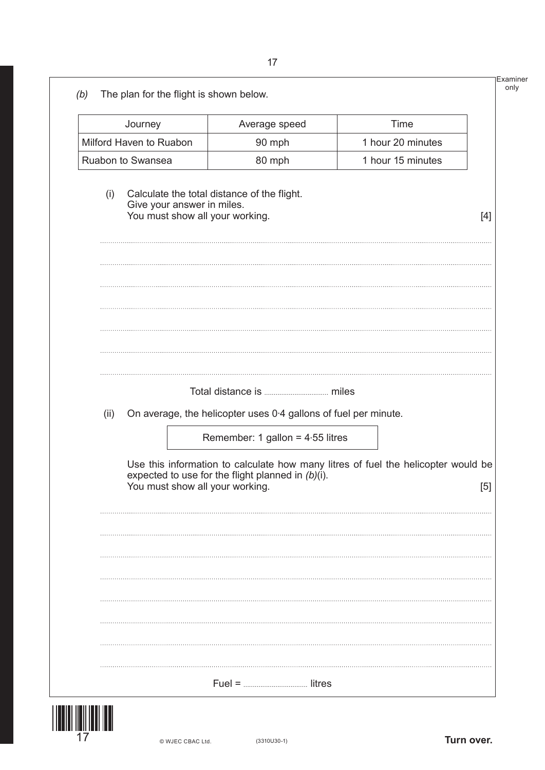|      | Journey                                                       | Average speed                                                   | Time                                                                              |       |
|------|---------------------------------------------------------------|-----------------------------------------------------------------|-----------------------------------------------------------------------------------|-------|
|      | Milford Haven to Ruabon                                       | 90 mph                                                          | 1 hour 20 minutes                                                                 |       |
|      | Ruabon to Swansea                                             | 80 mph                                                          | 1 hour 15 minutes                                                                 |       |
| (i)  | Give your answer in miles.<br>You must show all your working. | Calculate the total distance of the flight.                     |                                                                                   | $[4]$ |
|      |                                                               |                                                                 |                                                                                   |       |
|      |                                                               |                                                                 |                                                                                   |       |
| (ii) |                                                               | On average, the helicopter uses 0.4 gallons of fuel per minute. |                                                                                   |       |
|      |                                                               | Remember: 1 gallon = $4.55$ litres                              |                                                                                   |       |
|      | You must show all your working.                               | expected to use for the flight planned in $(b)(i)$ .            | Use this information to calculate how many litres of fuel the helicopter would be | [5]   |
|      |                                                               |                                                                 |                                                                                   |       |
|      |                                                               |                                                                 |                                                                                   |       |
|      |                                                               |                                                                 |                                                                                   |       |
|      |                                                               |                                                                 |                                                                                   |       |
|      |                                                               |                                                                 |                                                                                   |       |
|      |                                                               |                                                                 |                                                                                   |       |



**17**  $\bullet$  WJEC CBAC Ltd. (3310U30-1) **Turn over.**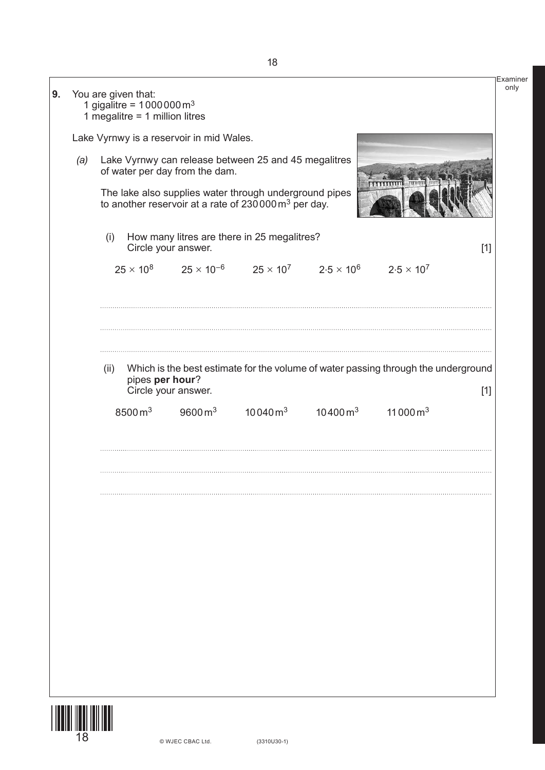| 9. |     | You are given that: | 1 gigalitre = $1000000 \text{ m}^3$<br>1 megalitre = $1$ million litres |                                          |                                                                                                                           |                                                                                            |                                                                                    |       |
|----|-----|---------------------|-------------------------------------------------------------------------|------------------------------------------|---------------------------------------------------------------------------------------------------------------------------|--------------------------------------------------------------------------------------------|------------------------------------------------------------------------------------|-------|
|    |     |                     |                                                                         | Lake Vyrnwy is a reservoir in mid Wales. |                                                                                                                           |                                                                                            |                                                                                    |       |
|    | (a) |                     |                                                                         | of water per day from the dam.           | Lake Vyrnwy can release between 25 and 45 megalitres                                                                      |                                                                                            | <b>TITTITUIL</b> TUNNE                                                             |       |
|    |     |                     |                                                                         |                                          | The lake also supplies water through underground pipes<br>to another reservoir at a rate of $230000 \text{ m}^3$ per day. |                                                                                            |                                                                                    |       |
|    |     | (i)                 |                                                                         | Circle your answer.                      | How many litres are there in 25 megalitres?                                                                               |                                                                                            |                                                                                    | $[1]$ |
|    |     |                     |                                                                         |                                          |                                                                                                                           | $25 \times 10^8$ $25 \times 10^{-6}$ $25 \times 10^7$ $2.5 \times 10^6$ $2.5 \times 10^7$  |                                                                                    |       |
|    |     |                     |                                                                         |                                          |                                                                                                                           |                                                                                            |                                                                                    |       |
|    |     |                     |                                                                         |                                          |                                                                                                                           |                                                                                            |                                                                                    |       |
|    |     | (ii)                | pipes per hour?                                                         | Circle your answer.                      |                                                                                                                           |                                                                                            | Which is the best estimate for the volume of water passing through the underground | $[1]$ |
|    |     |                     | 8500 $m3$                                                               |                                          |                                                                                                                           | $9600 \,\mathrm{m}^3$ $10040 \,\mathrm{m}^3$ $10400 \,\mathrm{m}^3$ $11000 \,\mathrm{m}^3$ |                                                                                    |       |
|    |     |                     |                                                                         |                                          |                                                                                                                           |                                                                                            |                                                                                    |       |
|    |     |                     |                                                                         |                                          |                                                                                                                           |                                                                                            |                                                                                    |       |
|    |     |                     |                                                                         |                                          |                                                                                                                           |                                                                                            |                                                                                    |       |
|    |     |                     |                                                                         |                                          |                                                                                                                           |                                                                                            |                                                                                    |       |
|    |     |                     |                                                                         |                                          |                                                                                                                           |                                                                                            |                                                                                    |       |
|    |     |                     |                                                                         |                                          |                                                                                                                           |                                                                                            |                                                                                    |       |
|    |     |                     |                                                                         |                                          |                                                                                                                           |                                                                                            |                                                                                    |       |
|    |     |                     |                                                                         |                                          |                                                                                                                           |                                                                                            |                                                                                    |       |
|    |     |                     |                                                                         |                                          |                                                                                                                           |                                                                                            |                                                                                    |       |

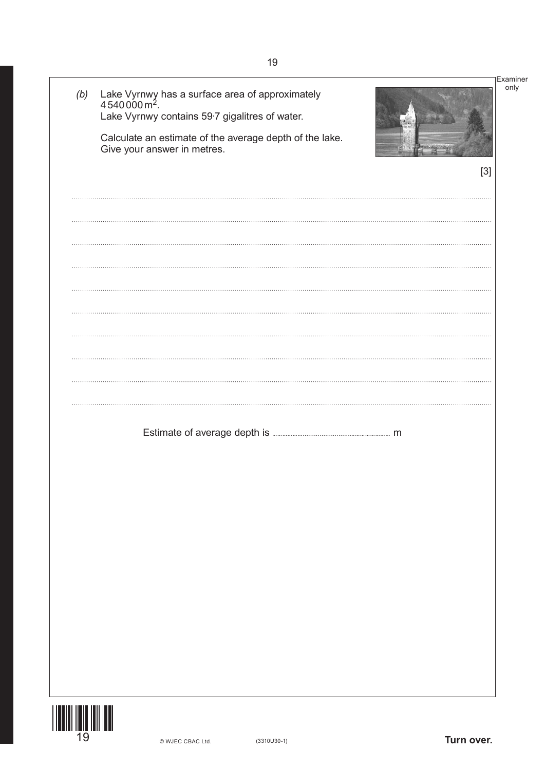| (b) | Lake Vyrnwy has a surface area of approximately 4540000 m <sup>2</sup> .<br>Lake Vyrnwy contains 59.7 gigalitres of water. | Examiner |
|-----|----------------------------------------------------------------------------------------------------------------------------|----------|
|     | Calculate an estimate of the average depth of the lake.<br>Give your answer in metres.                                     |          |
|     |                                                                                                                            | $[3]$    |
|     |                                                                                                                            |          |
|     |                                                                                                                            |          |
|     |                                                                                                                            |          |
|     |                                                                                                                            |          |
|     |                                                                                                                            |          |
|     |                                                                                                                            |          |
|     |                                                                                                                            |          |
|     |                                                                                                                            |          |
|     |                                                                                                                            |          |
|     |                                                                                                                            |          |
|     |                                                                                                                            |          |
|     |                                                                                                                            |          |
|     |                                                                                                                            |          |
|     |                                                                                                                            |          |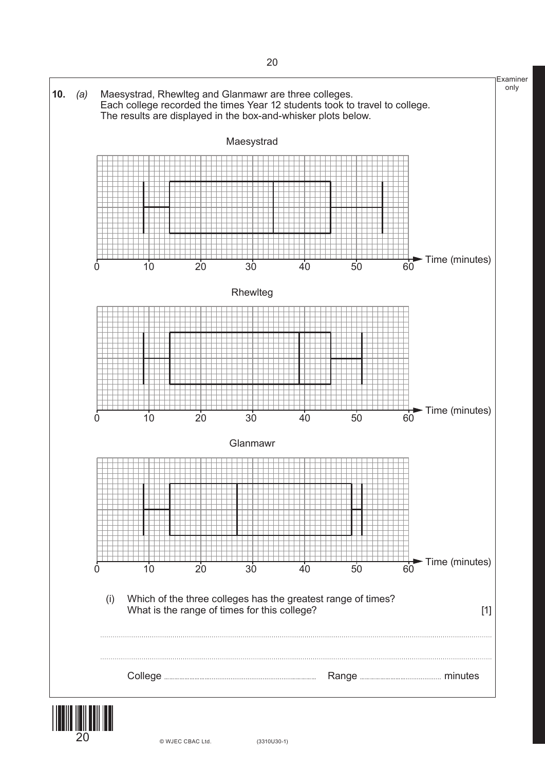

 $20$   $\circ$  WJEC CBAC Ltd.  $(3310U30-1)$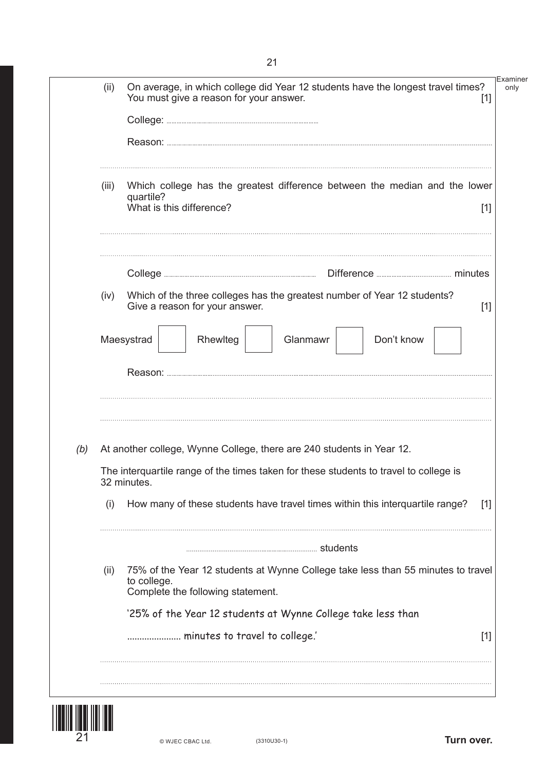|     | (ii)                                                                                                                                                                          | On average, in which college did Year 12 students have the longest travel times?<br>You must give a reason for your answer.<br>$[1]$ |                                                                                  |       |  |  |  |
|-----|-------------------------------------------------------------------------------------------------------------------------------------------------------------------------------|--------------------------------------------------------------------------------------------------------------------------------------|----------------------------------------------------------------------------------|-------|--|--|--|
|     |                                                                                                                                                                               |                                                                                                                                      |                                                                                  |       |  |  |  |
|     |                                                                                                                                                                               |                                                                                                                                      |                                                                                  |       |  |  |  |
|     | (iii)                                                                                                                                                                         | Which college has the greatest difference between the median and the lower<br>quartile?<br>What is this difference?                  |                                                                                  |       |  |  |  |
|     |                                                                                                                                                                               |                                                                                                                                      |                                                                                  |       |  |  |  |
|     | (iv)                                                                                                                                                                          | Give a reason for your answer.                                                                                                       | Which of the three colleges has the greatest number of Year 12 students?         | $[1]$ |  |  |  |
|     |                                                                                                                                                                               | Maesystrad<br>Rhewlteg                                                                                                               | Don't know<br>Glanmawr                                                           |       |  |  |  |
|     |                                                                                                                                                                               |                                                                                                                                      |                                                                                  |       |  |  |  |
|     | At another college, Wynne College, there are 240 students in Year 12.<br>The interquartile range of the times taken for these students to travel to college is<br>32 minutes. |                                                                                                                                      |                                                                                  |       |  |  |  |
|     |                                                                                                                                                                               |                                                                                                                                      |                                                                                  |       |  |  |  |
|     | (i)                                                                                                                                                                           |                                                                                                                                      | How many of these students have travel times within this interquartile range?    | $[1]$ |  |  |  |
|     |                                                                                                                                                                               |                                                                                                                                      |                                                                                  |       |  |  |  |
| (b) | (ii)                                                                                                                                                                          | to college.<br>Complete the following statement.                                                                                     | 75% of the Year 12 students at Wynne College take less than 55 minutes to travel |       |  |  |  |
|     |                                                                                                                                                                               |                                                                                                                                      | '25% of the Year 12 students at Wynne College take less than                     |       |  |  |  |

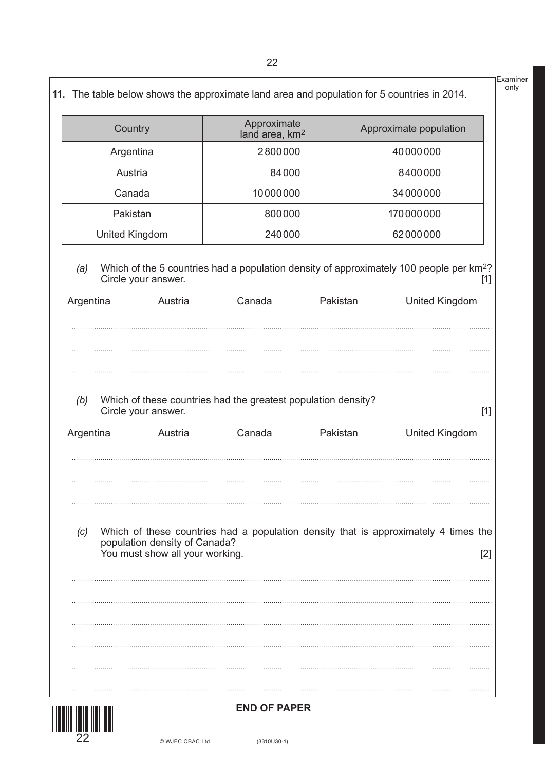|                                                                     | Country                                                          | Approximate<br>land area, km <sup>2</sup>                               |          | Approximate population                                                                                                                |  |
|---------------------------------------------------------------------|------------------------------------------------------------------|-------------------------------------------------------------------------|----------|---------------------------------------------------------------------------------------------------------------------------------------|--|
| Argentina<br>Austria<br>Canada<br>Pakistan<br><b>United Kingdom</b> |                                                                  | 2800000                                                                 |          | 40000000<br>8400000<br>34000000                                                                                                       |  |
|                                                                     |                                                                  |                                                                         | 84000    |                                                                                                                                       |  |
|                                                                     |                                                                  | 10000000                                                                |          |                                                                                                                                       |  |
|                                                                     |                                                                  | 800000                                                                  |          | 170000000                                                                                                                             |  |
|                                                                     |                                                                  | 240000                                                                  |          | 62000000                                                                                                                              |  |
| (a)<br>Argentina                                                    | Circle your answer.<br>Austria                                   | Canada                                                                  | Pakistan | Which of the 5 countries had a population density of approximately 100 people per km <sup>2</sup> ?<br>$[1]$<br><b>United Kingdom</b> |  |
| (b)<br>Argentina                                                    | Circle your answer.<br>Austria                                   | Which of these countries had the greatest population density?<br>Canada | Pakistan | $[1]$<br><b>United Kingdom</b>                                                                                                        |  |
| (c)                                                                 | population density of Canada?<br>You must show all your working. |                                                                         |          | Which of these countries had a population density that is approximately 4 times the<br>[2]                                            |  |
|                                                                     |                                                                  |                                                                         |          |                                                                                                                                       |  |



Examiner only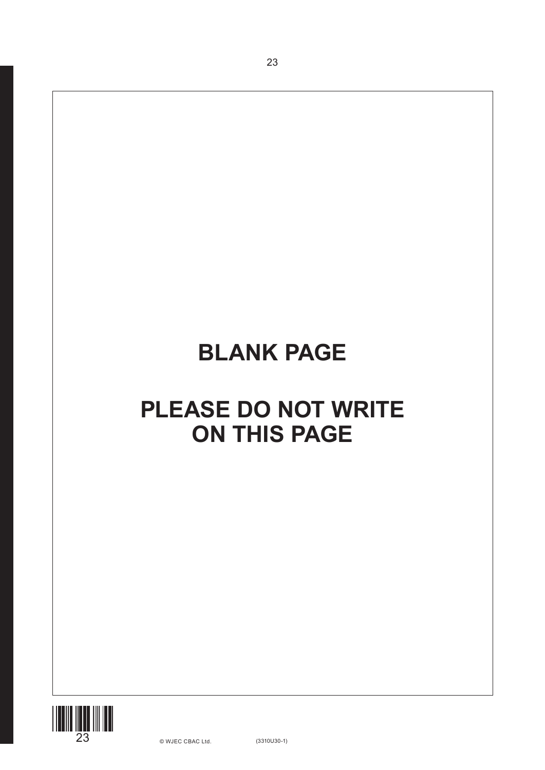# **BLANK PAGE**

23

# **PLEASE DO NOT WRITE ON THIS PAGE**